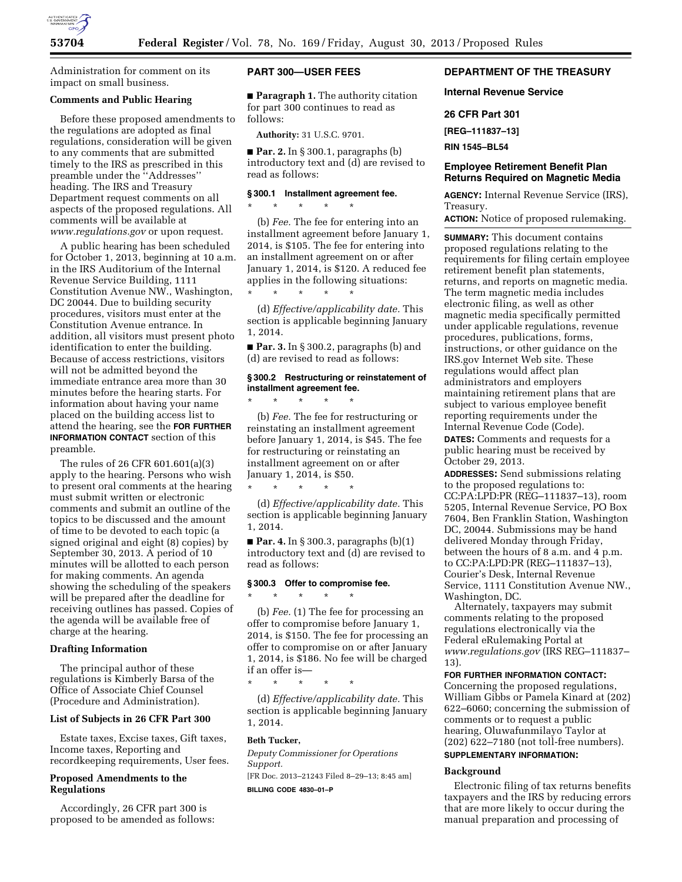

Administration for comment on its impact on small business.

#### **Comments and Public Hearing**

Before these proposed amendments to the regulations are adopted as final regulations, consideration will be given to any comments that are submitted timely to the IRS as prescribed in this preamble under the ''Addresses'' heading. The IRS and Treasury Department request comments on all aspects of the proposed regulations. All comments will be available at *[www.regulations.gov](http://www.regulations.gov)* or upon request.

A public hearing has been scheduled for October 1, 2013, beginning at 10 a.m. in the IRS Auditorium of the Internal Revenue Service Building, 1111 Constitution Avenue NW., Washington, DC 20044. Due to building security procedures, visitors must enter at the Constitution Avenue entrance. In addition, all visitors must present photo identification to enter the building. Because of access restrictions, visitors will not be admitted beyond the immediate entrance area more than 30 minutes before the hearing starts. For information about having your name placed on the building access list to attend the hearing, see the **FOR FURTHER INFORMATION CONTACT** section of this preamble.

The rules of 26 CFR 601.601(a)(3) apply to the hearing. Persons who wish to present oral comments at the hearing must submit written or electronic comments and submit an outline of the topics to be discussed and the amount of time to be devoted to each topic (a signed original and eight (8) copies) by September 30, 2013. A period of 10 minutes will be allotted to each person for making comments. An agenda showing the scheduling of the speakers will be prepared after the deadline for receiving outlines has passed. Copies of the agenda will be available free of charge at the hearing.

## **Drafting Information**

The principal author of these regulations is Kimberly Barsa of the Office of Associate Chief Counsel (Procedure and Administration).

## **List of Subjects in 26 CFR Part 300**

Estate taxes, Excise taxes, Gift taxes, Income taxes, Reporting and recordkeeping requirements, User fees.

### **Proposed Amendments to the Regulations**

Accordingly, 26 CFR part 300 is proposed to be amended as follows:

## **PART 300—USER FEES**

■ **Paragraph 1.** The authority citation for part 300 continues to read as follows:

**Authority:** 31 U.S.C. 9701.

■ **Par. 2.** In § 300.1, paragraphs (b) introductory text and (d) are revised to read as follows:

#### **§ 300.1 Installment agreement fee.**

\* \* \* \* \* (b) *Fee.* The fee for entering into an installment agreement before January 1, 2014, is \$105. The fee for entering into

an installment agreement on or after January 1, 2014, is \$120. A reduced fee applies in the following situations: \* \* \* \* \*

(d) *Effective/applicability date.* This section is applicable beginning January 1, 2014.

■ **Par. 3.** In § 300.2, paragraphs (b) and (d) are revised to read as follows:

## **§ 300.2 Restructuring or reinstatement of installment agreement fee.**

\* \* \* \* \*

\* \* \* \* \*

(b) *Fee.* The fee for restructuring or reinstating an installment agreement before January 1, 2014, is \$45. The fee for restructuring or reinstating an installment agreement on or after January 1, 2014, is \$50.

(d) *Effective/applicability date.* This section is applicable beginning January 1, 2014.

■ **Par. 4.** In § 300.3, paragraphs (b)(1) introductory text and (d) are revised to read as follows:

# **§ 300.3 Offer to compromise fee.**

\* \* \* \* \*

\* \* \* \* \*

(b) *Fee.* (1) The fee for processing an offer to compromise before January 1, 2014, is \$150. The fee for processing an offer to compromise on or after January 1, 2014, is \$186. No fee will be charged if an offer is—

(d) *Effective/applicability date.* This section is applicable beginning January 1, 2014.

## **Beth Tucker,**

*Deputy Commissioner for Operations Support.* 

[FR Doc. 2013–21243 Filed 8–29–13; 8:45 am] **BILLING CODE 4830–01–P** 

## **DEPARTMENT OF THE TREASURY**

#### **Internal Revenue Service**

#### **26 CFR Part 301**

**[REG–111837–13]** 

**RIN 1545–BL54** 

### **Employee Retirement Benefit Plan Returns Required on Magnetic Media**

**AGENCY:** Internal Revenue Service (IRS), Treasury.

**ACTION:** Notice of proposed rulemaking.

**SUMMARY:** This document contains proposed regulations relating to the requirements for filing certain employee retirement benefit plan statements, returns, and reports on magnetic media. The term magnetic media includes electronic filing, as well as other magnetic media specifically permitted under applicable regulations, revenue procedures, publications, forms, instructions, or other guidance on the IRS.gov Internet Web site. These regulations would affect plan administrators and employers maintaining retirement plans that are subject to various employee benefit reporting requirements under the Internal Revenue Code (Code). **DATES:** Comments and requests for a public hearing must be received by October 29, 2013.

**ADDRESSES:** Send submissions relating to the proposed regulations to: CC:PA:LPD:PR (REG–111837–13), room 5205, Internal Revenue Service, PO Box 7604, Ben Franklin Station, Washington DC, 20044. Submissions may be hand delivered Monday through Friday, between the hours of 8 a.m. and 4 p.m. to CC:PA:LPD:PR (REG–111837–13), Courier's Desk, Internal Revenue Service, 1111 Constitution Avenue NW., Washington, DC.

Alternately, taxpayers may submit comments relating to the proposed regulations electronically via the Federal eRulemaking Portal at *[www.regulations.gov](http://www.regulations.gov)* (IRS REG–111837– 13).

## **FOR FURTHER INFORMATION CONTACT:**

Concerning the proposed regulations, William Gibbs or Pamela Kinard at (202) 622–6060; concerning the submission of comments or to request a public hearing, Oluwafunmilayo Taylor at (202) 622–7180 (not toll-free numbers). **SUPPLEMENTARY INFORMATION:** 

## **Background**

Electronic filing of tax returns benefits taxpayers and the IRS by reducing errors that are more likely to occur during the manual preparation and processing of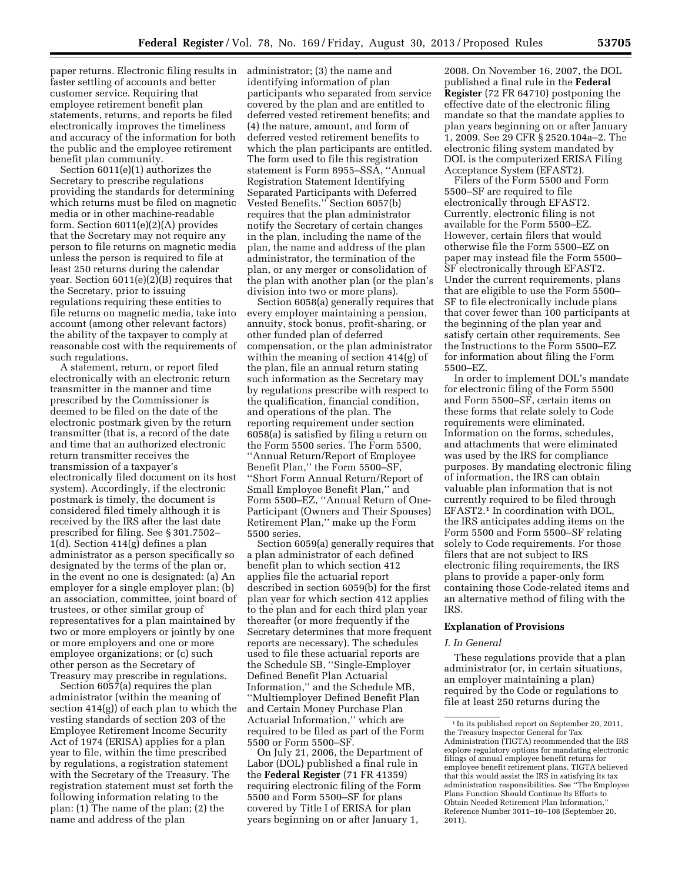paper returns. Electronic filing results in administrator; (3) the name and faster settling of accounts and better customer service. Requiring that employee retirement benefit plan statements, returns, and reports be filed electronically improves the timeliness and accuracy of the information for both the public and the employee retirement benefit plan community.

Section 6011(e)(1) authorizes the Secretary to prescribe regulations providing the standards for determining which returns must be filed on magnetic media or in other machine-readable form. Section 6011(e)(2)(A) provides that the Secretary may not require any person to file returns on magnetic media unless the person is required to file at least 250 returns during the calendar year. Section 6011(e)(2)(B) requires that the Secretary, prior to issuing regulations requiring these entities to file returns on magnetic media, take into account (among other relevant factors) the ability of the taxpayer to comply at reasonable cost with the requirements of such regulations.

A statement, return, or report filed electronically with an electronic return transmitter in the manner and time prescribed by the Commissioner is deemed to be filed on the date of the electronic postmark given by the return transmitter (that is, a record of the date and time that an authorized electronic return transmitter receives the transmission of a taxpayer's electronically filed document on its host system). Accordingly, if the electronic postmark is timely, the document is considered filed timely although it is received by the IRS after the last date prescribed for filing. See § 301.7502–  $1(d)$ . Section 414(g) defines a plan administrator as a person specifically so designated by the terms of the plan or, in the event no one is designated: (a) An employer for a single employer plan; (b) an association, committee, joint board of trustees, or other similar group of representatives for a plan maintained by two or more employers or jointly by one or more employers and one or more employee organizations; or (c) such other person as the Secretary of Treasury may prescribe in regulations.

Section 6057(a) requires the plan administrator (within the meaning of section 414(g)) of each plan to which the vesting standards of section 203 of the Employee Retirement Income Security Act of 1974 (ERISA) applies for a plan year to file, within the time prescribed by regulations, a registration statement with the Secretary of the Treasury. The registration statement must set forth the following information relating to the plan: (1) The name of the plan; (2) the name and address of the plan

identifying information of plan participants who separated from service covered by the plan and are entitled to deferred vested retirement benefits; and (4) the nature, amount, and form of deferred vested retirement benefits to which the plan participants are entitled. The form used to file this registration statement is Form 8955–SSA, ''Annual Registration Statement Identifying Separated Participants with Deferred Vested Benefits.'' Section 6057(b) requires that the plan administrator notify the Secretary of certain changes in the plan, including the name of the plan, the name and address of the plan administrator, the termination of the plan, or any merger or consolidation of the plan with another plan (or the plan's division into two or more plans).

Section 6058(a) generally requires that every employer maintaining a pension, annuity, stock bonus, profit-sharing, or other funded plan of deferred compensation, or the plan administrator within the meaning of section 414(g) of the plan, file an annual return stating such information as the Secretary may by regulations prescribe with respect to the qualification, financial condition, and operations of the plan. The reporting requirement under section 6058(a) is satisfied by filing a return on the Form 5500 series. The Form 5500, ''Annual Return/Report of Employee Benefit Plan,'' the Form 5500–SF, ''Short Form Annual Return/Report of Small Employee Benefit Plan,'' and Form 5500–EZ, ''Annual Return of One-Participant (Owners and Their Spouses) Retirement Plan,'' make up the Form 5500 series.

Section 6059(a) generally requires that a plan administrator of each defined benefit plan to which section 412 applies file the actuarial report described in section 6059(b) for the first plan year for which section 412 applies to the plan and for each third plan year thereafter (or more frequently if the Secretary determines that more frequent reports are necessary). The schedules used to file these actuarial reports are the Schedule SB, ''Single-Employer Defined Benefit Plan Actuarial Information,'' and the Schedule MB, ''Multiemployer Defined Benefit Plan and Certain Money Purchase Plan Actuarial Information,'' which are required to be filed as part of the Form 5500 or Form 5500–SF.

On July 21, 2006, the Department of Labor (DOL) published a final rule in the **Federal Register** (71 FR 41359) requiring electronic filing of the Form 5500 and Form 5500–SF for plans covered by Title I of ERISA for plan years beginning on or after January 1,

2008. On November 16, 2007, the DOL published a final rule in the **Federal Register** (72 FR 64710) postponing the effective date of the electronic filing mandate so that the mandate applies to plan years beginning on or after January 1, 2009. See 29 CFR § 2520.104a–2. The electronic filing system mandated by DOL is the computerized ERISA Filing Acceptance System (EFAST2).

Filers of the Form 5500 and Form 5500–SF are required to file electronically through EFAST2. Currently, electronic filing is not available for the Form 5500–EZ. However, certain filers that would otherwise file the Form 5500–EZ on paper may instead file the Form 5500– SF electronically through EFAST2. Under the current requirements, plans that are eligible to use the Form 5500– SF to file electronically include plans that cover fewer than 100 participants at the beginning of the plan year and satisfy certain other requirements. See the Instructions to the Form 5500–EZ for information about filing the Form 5500–EZ.

In order to implement DOL's mandate for electronic filing of the Form 5500 and Form 5500–SF, certain items on these forms that relate solely to Code requirements were eliminated. Information on the forms, schedules, and attachments that were eliminated was used by the IRS for compliance purposes. By mandating electronic filing of information, the IRS can obtain valuable plan information that is not currently required to be filed through EFAST2.1 In coordination with DOL, the IRS anticipates adding items on the Form 5500 and Form 5500–SF relating solely to Code requirements. For those filers that are not subject to IRS electronic filing requirements, the IRS plans to provide a paper-only form containing those Code-related items and an alternative method of filing with the IRS.

#### **Explanation of Provisions**

#### *I. In General*

These regulations provide that a plan administrator (or, in certain situations, an employer maintaining a plan) required by the Code or regulations to file at least 250 returns during the

<sup>1</sup> In its published report on September 20, 2011, the Treasury Inspector General for Tax Administration (TIGTA) recommended that the IRS explore regulatory options for mandating electronic filings of annual employee benefit returns for employee benefit retirement plans. TIGTA believed that this would assist the IRS in satisfying its tax administration responsibilities. See ''The Employee Plans Function Should Continue Its Efforts to Obtain Needed Retirement Plan Information,'' Reference Number 3011–10–108 (September 20, 2011).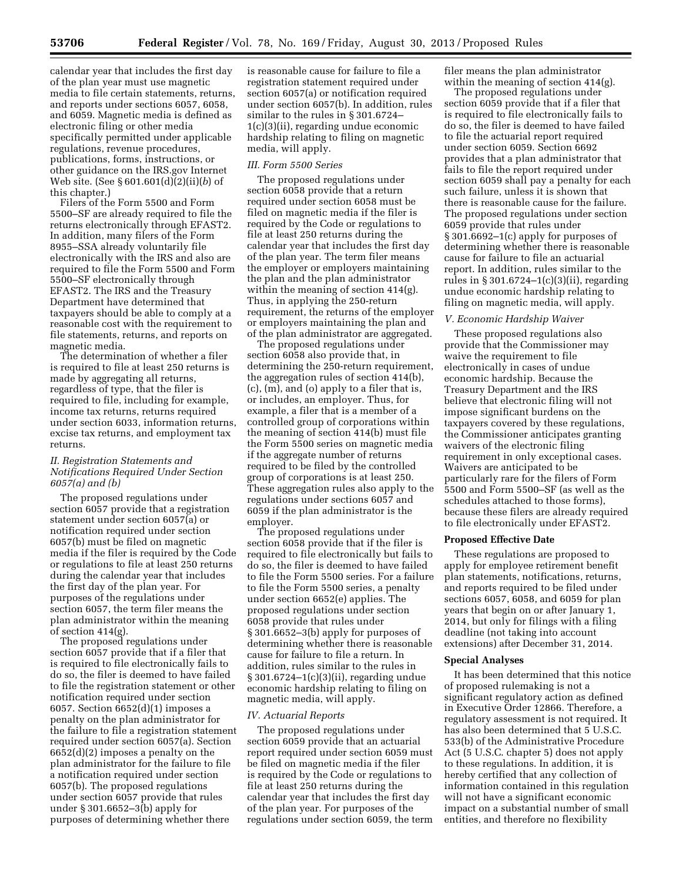calendar year that includes the first day of the plan year must use magnetic media to file certain statements, returns, and reports under sections 6057, 6058, and 6059. Magnetic media is defined as electronic filing or other media specifically permitted under applicable regulations, revenue procedures, publications, forms, instructions, or other guidance on the IRS.gov Internet Web site. (See § 601.601(d)(2)(ii)(*b*) of this chapter.)

Filers of the Form 5500 and Form 5500–SF are already required to file the returns electronically through EFAST2. In addition, many filers of the Form 8955–SSA already voluntarily file electronically with the IRS and also are required to file the Form 5500 and Form 5500–SF electronically through EFAST2. The IRS and the Treasury Department have determined that taxpayers should be able to comply at a reasonable cost with the requirement to file statements, returns, and reports on magnetic media.

The determination of whether a filer is required to file at least 250 returns is made by aggregating all returns, regardless of type, that the filer is required to file, including for example, income tax returns, returns required under section 6033, information returns, excise tax returns, and employment tax returns.

### *II. Registration Statements and Notifications Required Under Section 6057(a) and (b)*

The proposed regulations under section 6057 provide that a registration statement under section 6057(a) or notification required under section 6057(b) must be filed on magnetic media if the filer is required by the Code or regulations to file at least 250 returns during the calendar year that includes the first day of the plan year. For purposes of the regulations under section 6057, the term filer means the plan administrator within the meaning of section 414(g).

The proposed regulations under section 6057 provide that if a filer that is required to file electronically fails to do so, the filer is deemed to have failed to file the registration statement or other notification required under section 6057. Section 6652(d)(1) imposes a penalty on the plan administrator for the failure to file a registration statement required under section 6057(a). Section 6652(d)(2) imposes a penalty on the plan administrator for the failure to file a notification required under section 6057(b). The proposed regulations under section 6057 provide that rules under § 301.6652–3(b) apply for purposes of determining whether there

is reasonable cause for failure to file a registration statement required under section 6057(a) or notification required under section 6057(b). In addition, rules similar to the rules in § 301.6724– 1(c)(3)(ii), regarding undue economic hardship relating to filing on magnetic media, will apply.

#### *III. Form 5500 Series*

The proposed regulations under section 6058 provide that a return required under section 6058 must be filed on magnetic media if the filer is required by the Code or regulations to file at least 250 returns during the calendar year that includes the first day of the plan year. The term filer means the employer or employers maintaining the plan and the plan administrator within the meaning of section 414(g). Thus, in applying the 250-return requirement, the returns of the employer or employers maintaining the plan and of the plan administrator are aggregated.

The proposed regulations under section 6058 also provide that, in determining the 250-return requirement, the aggregation rules of section 414(b), (c), (m), and (o) apply to a filer that is, or includes, an employer. Thus, for example, a filer that is a member of a controlled group of corporations within the meaning of section 414(b) must file the Form 5500 series on magnetic media if the aggregate number of returns required to be filed by the controlled group of corporations is at least 250. These aggregation rules also apply to the regulations under sections 6057 and 6059 if the plan administrator is the employer.

The proposed regulations under section 6058 provide that if the filer is required to file electronically but fails to do so, the filer is deemed to have failed to file the Form 5500 series. For a failure to file the Form 5500 series, a penalty under section 6652(e) applies. The proposed regulations under section 6058 provide that rules under § 301.6652–3(b) apply for purposes of determining whether there is reasonable cause for failure to file a return. In addition, rules similar to the rules in § 301.6724–1(c)(3)(ii), regarding undue economic hardship relating to filing on magnetic media, will apply.

#### *IV. Actuarial Reports*

The proposed regulations under section 6059 provide that an actuarial report required under section 6059 must be filed on magnetic media if the filer is required by the Code or regulations to file at least 250 returns during the calendar year that includes the first day of the plan year. For purposes of the regulations under section 6059, the term filer means the plan administrator within the meaning of section 414(g).

The proposed regulations under section 6059 provide that if a filer that is required to file electronically fails to do so, the filer is deemed to have failed to file the actuarial report required under section 6059. Section 6692 provides that a plan administrator that fails to file the report required under section 6059 shall pay a penalty for each such failure, unless it is shown that there is reasonable cause for the failure. The proposed regulations under section 6059 provide that rules under § 301.6692–1(c) apply for purposes of determining whether there is reasonable cause for failure to file an actuarial report. In addition, rules similar to the rules in § 301.6724–1(c)(3)(ii), regarding undue economic hardship relating to filing on magnetic media, will apply.

#### *V. Economic Hardship Waiver*

These proposed regulations also provide that the Commissioner may waive the requirement to file electronically in cases of undue economic hardship. Because the Treasury Department and the IRS believe that electronic filing will not impose significant burdens on the taxpayers covered by these regulations, the Commissioner anticipates granting waivers of the electronic filing requirement in only exceptional cases. Waivers are anticipated to be particularly rare for the filers of Form 5500 and Form 5500–SF (as well as the schedules attached to those forms), because these filers are already required to file electronically under EFAST2.

#### **Proposed Effective Date**

These regulations are proposed to apply for employee retirement benefit plan statements, notifications, returns, and reports required to be filed under sections 6057, 6058, and 6059 for plan years that begin on or after January 1, 2014, but only for filings with a filing deadline (not taking into account extensions) after December 31, 2014.

#### **Special Analyses**

It has been determined that this notice of proposed rulemaking is not a significant regulatory action as defined in Executive Order 12866. Therefore, a regulatory assessment is not required. It has also been determined that 5 U.S.C. 533(b) of the Administrative Procedure Act (5 U.S.C. chapter 5) does not apply to these regulations. In addition, it is hereby certified that any collection of information contained in this regulation will not have a significant economic impact on a substantial number of small entities, and therefore no flexibility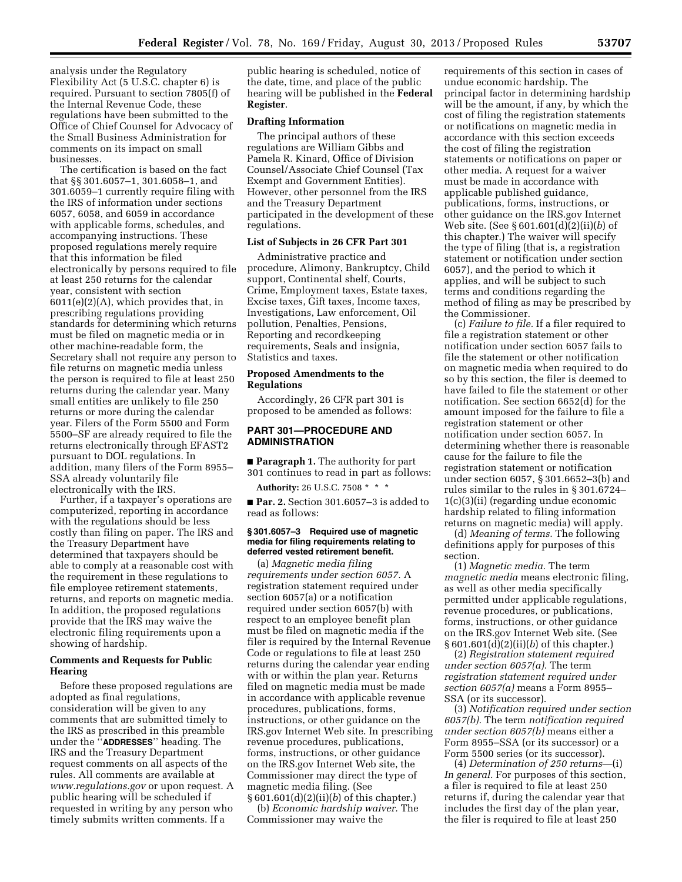analysis under the Regulatory Flexibility Act (5 U.S.C. chapter 6) is required. Pursuant to section 7805(f) of the Internal Revenue Code, these regulations have been submitted to the Office of Chief Counsel for Advocacy of the Small Business Administration for comments on its impact on small businesses.

The certification is based on the fact that §§ 301.6057–1, 301.6058–1, and 301.6059–1 currently require filing with the IRS of information under sections 6057, 6058, and 6059 in accordance with applicable forms, schedules, and accompanying instructions. These proposed regulations merely require that this information be filed electronically by persons required to file at least 250 returns for the calendar year, consistent with section 6011(e)(2)(A), which provides that, in prescribing regulations providing standards for determining which returns must be filed on magnetic media or in other machine-readable form, the Secretary shall not require any person to file returns on magnetic media unless the person is required to file at least 250 returns during the calendar year. Many small entities are unlikely to file 250 returns or more during the calendar year. Filers of the Form 5500 and Form 5500–SF are already required to file the returns electronically through EFAST2 pursuant to DOL regulations. In addition, many filers of the Form 8955– SSA already voluntarily file electronically with the IRS.

Further, if a taxpayer's operations are computerized, reporting in accordance with the regulations should be less costly than filing on paper. The IRS and the Treasury Department have determined that taxpayers should be able to comply at a reasonable cost with the requirement in these regulations to file employee retirement statements, returns, and reports on magnetic media. In addition, the proposed regulations provide that the IRS may waive the electronic filing requirements upon a showing of hardship.

## **Comments and Requests for Public Hearing**

Before these proposed regulations are adopted as final regulations, consideration will be given to any comments that are submitted timely to the IRS as prescribed in this preamble under the ''**ADDRESSES**'' heading. The IRS and the Treasury Department request comments on all aspects of the rules. All comments are available at *[www.regulations.gov](http://www.regulations.gov)* or upon request. A public hearing will be scheduled if requested in writing by any person who timely submits written comments. If a

public hearing is scheduled, notice of the date, time, and place of the public hearing will be published in the **Federal Register**.

#### **Drafting Information**

The principal authors of these regulations are William Gibbs and Pamela R. Kinard, Office of Division Counsel/Associate Chief Counsel (Tax Exempt and Government Entities). However, other personnel from the IRS and the Treasury Department participated in the development of these regulations.

#### **List of Subjects in 26 CFR Part 301**

Administrative practice and procedure, Alimony, Bankruptcy, Child support, Continental shelf, Courts, Crime, Employment taxes, Estate taxes, Excise taxes, Gift taxes, Income taxes, Investigations, Law enforcement, Oil pollution, Penalties, Pensions, Reporting and recordkeeping requirements, Seals and insignia, Statistics and taxes.

#### **Proposed Amendments to the Regulations**

Accordingly, 26 CFR part 301 is proposed to be amended as follows:

## **PART 301—PROCEDURE AND ADMINISTRATION**

■ **Paragraph 1.** The authority for part 301 continues to read in part as follows:

**Authority:** 26 U.S.C. 7508 \* \* \*

■ **Par. 2.** Section 301.6057-3 is added to read as follows:

#### **§ 301.6057–3 Required use of magnetic media for filing requirements relating to deferred vested retirement benefit.**

(a) *Magnetic media filing requirements under section 6057.* A registration statement required under section 6057(a) or a notification required under section 6057(b) with respect to an employee benefit plan must be filed on magnetic media if the filer is required by the Internal Revenue Code or regulations to file at least 250 returns during the calendar year ending with or within the plan year. Returns filed on magnetic media must be made in accordance with applicable revenue procedures, publications, forms, instructions, or other guidance on the IRS.gov Internet Web site. In prescribing revenue procedures, publications, forms, instructions, or other guidance on the IRS.gov Internet Web site, the Commissioner may direct the type of magnetic media filing. (See § 601.601(d)(2)(ii)(*b*) of this chapter.)

(b) *Economic hardship waiver.* The Commissioner may waive the

requirements of this section in cases of undue economic hardship. The principal factor in determining hardship will be the amount, if any, by which the cost of filing the registration statements or notifications on magnetic media in accordance with this section exceeds the cost of filing the registration statements or notifications on paper or other media. A request for a waiver must be made in accordance with applicable published guidance, publications, forms, instructions, or other guidance on the IRS.gov Internet Web site. (See § 601.601(d)(2)(ii)(*b*) of this chapter.) The waiver will specify the type of filing (that is, a registration statement or notification under section 6057), and the period to which it applies, and will be subject to such terms and conditions regarding the method of filing as may be prescribed by the Commissioner.

(c) *Failure to file.* If a filer required to file a registration statement or other notification under section 6057 fails to file the statement or other notification on magnetic media when required to do so by this section, the filer is deemed to have failed to file the statement or other notification. See section 6652(d) for the amount imposed for the failure to file a registration statement or other notification under section 6057. In determining whether there is reasonable cause for the failure to file the registration statement or notification under section 6057, § 301.6652–3(b) and rules similar to the rules in § 301.6724– 1(c)(3)(ii) (regarding undue economic hardship related to filing information returns on magnetic media) will apply.

(d) *Meaning of terms.* The following definitions apply for purposes of this section.

(1) *Magnetic media.* The term *magnetic media* means electronic filing, as well as other media specifically permitted under applicable regulations, revenue procedures, or publications, forms, instructions, or other guidance on the IRS.gov Internet Web site. (See § 601.601(d)(2)(ii)(*b*) of this chapter.)

(2) *Registration statement required under section 6057(a).* The term *registration statement required under section 6057(a)* means a Form 8955– SSA (or its successor).

(3) *Notification required under section 6057(b).* The term *notification required under section 6057(b)* means either a Form 8955–SSA (or its successor) or a Form 5500 series (or its successor).

(4) *Determination of 250 returns*—(i) *In general.* For purposes of this section, a filer is required to file at least 250 returns if, during the calendar year that includes the first day of the plan year, the filer is required to file at least 250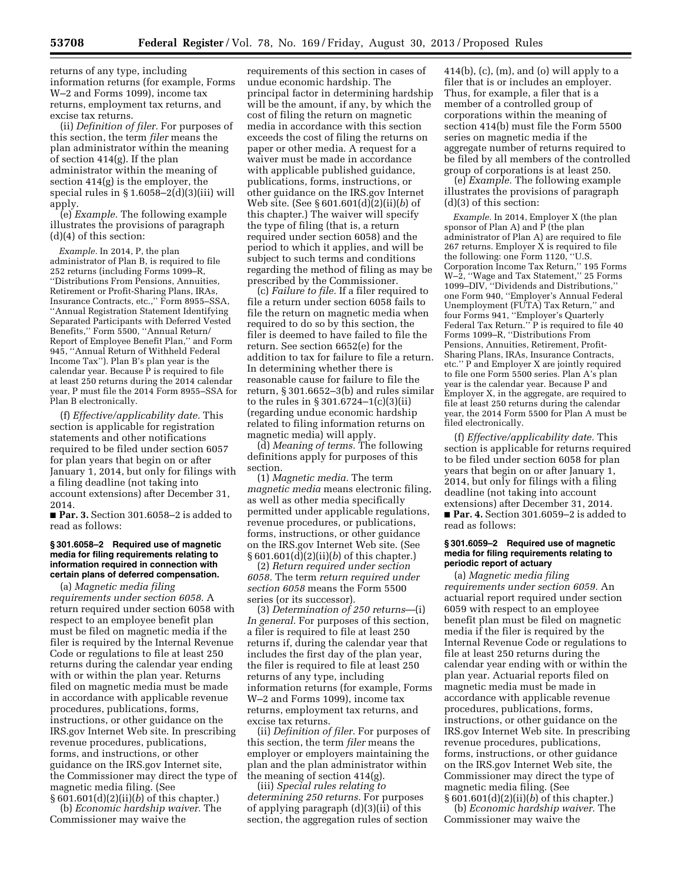returns of any type, including information returns (for example, Forms W–2 and Forms 1099), income tax returns, employment tax returns, and excise tax returns.

(ii) *Definition of filer.* For purposes of this section, the term *filer* means the plan administrator within the meaning of section 414(g). If the plan administrator within the meaning of section 414(g) is the employer, the special rules in  $\S 1.6058 - 2(d)(3)(iii)$  will apply.

(e) *Example.* The following example illustrates the provisions of paragraph (d)(4) of this section:

*Example.* In 2014, P, the plan administrator of Plan B, is required to file 252 returns (including Forms 1099–R, ''Distributions From Pensions, Annuities, Retirement or Profit-Sharing Plans, IRAs, Insurance Contracts, etc.,'' Form 8955–SSA, ''Annual Registration Statement Identifying Separated Participants with Deferred Vested Benefits,'' Form 5500, ''Annual Return/ Report of Employee Benefit Plan,'' and Form 945, ''Annual Return of Withheld Federal Income Tax''). Plan B's plan year is the calendar year. Because  $\overline{P}$  is required to file at least 250 returns during the 2014 calendar year, P must file the 2014 Form 8955–SSA for Plan B electronically.

(f) *Effective/applicability date.* This section is applicable for registration statements and other notifications required to be filed under section 6057 for plan years that begin on or after January 1, 2014, but only for filings with a filing deadline (not taking into account extensions) after December 31, 2014.

■ **Par. 3.** Section 301.6058-2 is added to read as follows:

#### **§ 301.6058–2 Required use of magnetic media for filing requirements relating to information required in connection with certain plans of deferred compensation.**

(a) *Magnetic media filing requirements under section 6058.* A return required under section 6058 with respect to an employee benefit plan must be filed on magnetic media if the filer is required by the Internal Revenue Code or regulations to file at least 250 returns during the calendar year ending with or within the plan year. Returns filed on magnetic media must be made in accordance with applicable revenue procedures, publications, forms, instructions, or other guidance on the IRS.gov Internet Web site. In prescribing revenue procedures, publications, forms, and instructions, or other guidance on the IRS.gov Internet site, the Commissioner may direct the type of magnetic media filing. (See § 601.601(d)(2)(ii)(*b*) of this chapter.)

(b) *Economic hardship waiver.* The Commissioner may waive the

requirements of this section in cases of undue economic hardship. The principal factor in determining hardship will be the amount, if any, by which the cost of filing the return on magnetic media in accordance with this section exceeds the cost of filing the returns on paper or other media. A request for a waiver must be made in accordance with applicable published guidance, publications, forms, instructions, or other guidance on the IRS.gov Internet Web site. (See § 601.601(d)(2)(ii)(*b*) of this chapter.) The waiver will specify the type of filing (that is, a return required under section 6058) and the period to which it applies, and will be subject to such terms and conditions regarding the method of filing as may be prescribed by the Commissioner.

(c) *Failure to file.* If a filer required to file a return under section 6058 fails to file the return on magnetic media when required to do so by this section, the filer is deemed to have failed to file the return. See section 6652(e) for the addition to tax for failure to file a return. In determining whether there is reasonable cause for failure to file the return, § 301.6652–3(b) and rules similar to the rules in § 301.6724–1(c)(3)(ii) (regarding undue economic hardship related to filing information returns on magnetic media) will apply.

(d) *Meaning of terms.* The following definitions apply for purposes of this section.

(1) *Magnetic media.* The term *magnetic media* means electronic filing, as well as other media specifically permitted under applicable regulations, revenue procedures, or publications, forms, instructions, or other guidance on the IRS.gov Internet Web site. (See § 601.601(d)(2)(ii)(*b*) of this chapter.)

(2) *Return required under section 6058.* The term *return required under section 6058* means the Form 5500 series (or its successor).

(3) *Determination of 250 returns*—(i) *In general.* For purposes of this section, a filer is required to file at least 250 returns if, during the calendar year that includes the first day of the plan year, the filer is required to file at least 250 returns of any type, including information returns (for example, Forms W–2 and Forms 1099), income tax returns, employment tax returns, and excise tax returns.

(ii) *Definition of filer.* For purposes of this section, the term *filer* means the employer or employers maintaining the plan and the plan administrator within the meaning of section 414(g).

(iii) *Special rules relating to determining 250 returns.* For purposes of applying paragraph (d)(3)(ii) of this section, the aggregation rules of section

 $414(b)$ , (c), (m), and (o) will apply to a filer that is or includes an employer. Thus, for example, a filer that is a member of a controlled group of corporations within the meaning of section 414(b) must file the Form 5500 series on magnetic media if the aggregate number of returns required to be filed by all members of the controlled group of corporations is at least 250.

(e) *Example.* The following example illustrates the provisions of paragraph (d)(3) of this section:

*Example.* In 2014, Employer X (the plan sponsor of Plan A) and  $\vec{P}$  (the plan administrator of Plan A) are required to file 267 returns. Employer X is required to file the following: one Form 1120, ''U.S. Corporation Income Tax Return,'' 195 Forms W–2, ''Wage and Tax Statement,'' 25 Forms 1099–DIV, ''Dividends and Distributions,'' one Form 940, ''Employer's Annual Federal Unemployment (FUTA) Tax Return,'' and four Forms 941, ''Employer's Quarterly Federal Tax Return.'' P is required to file 40 Forms 1099–R, ''Distributions From Pensions, Annuities, Retirement, Profit-Sharing Plans, IRAs, Insurance Contracts, etc.'' P and Employer X are jointly required to file one Form 5500 series. Plan A's plan year is the calendar year. Because P and Employer X, in the aggregate, are required to file at least 250 returns during the calendar year, the 2014 Form 5500 for Plan A must be filed electronically.

(f) *Effective/applicability date.* This section is applicable for returns required to be filed under section 6058 for plan years that begin on or after January 1, 2014, but only for filings with a filing deadline (not taking into account extensions) after December 31, 2014. ■ **Par. 4.** Section 301.6059-2 is added to read as follows:

#### **§ 301.6059–2 Required use of magnetic media for filing requirements relating to periodic report of actuary**

(a) *Magnetic media filing requirements under section 6059.* An actuarial report required under section 6059 with respect to an employee benefit plan must be filed on magnetic media if the filer is required by the Internal Revenue Code or regulations to file at least 250 returns during the calendar year ending with or within the plan year. Actuarial reports filed on magnetic media must be made in accordance with applicable revenue procedures, publications, forms, instructions, or other guidance on the IRS.gov Internet Web site. In prescribing revenue procedures, publications, forms, instructions, or other guidance on the IRS.gov Internet Web site, the Commissioner may direct the type of magnetic media filing. (See § 601.601(d)(2)(ii)(*b*) of this chapter.)

(b) *Economic hardship waiver.* The Commissioner may waive the